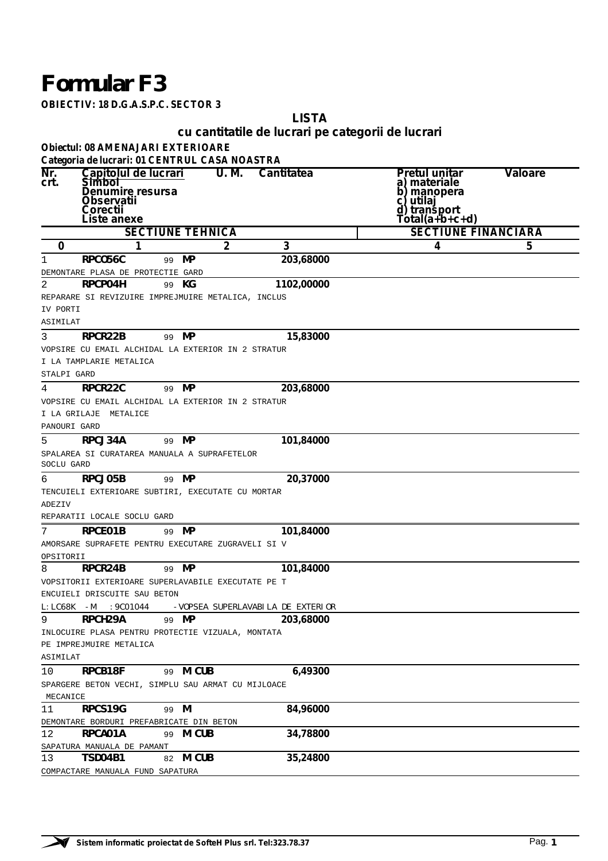## *Formular F3*

**OBIECTIV: 18 D.G.A.S.P.C. SECTOR 3**

**LISTA**

## **cu cantitatile de lucrari pe categorii de lucrari**

**Obiectul: 08 AMENAJARI EXTERIOARE**

|                | Categoria de lucrari: 01 CENTRUL CASA NOASTRA      |                         |       |                                   |                             |                |
|----------------|----------------------------------------------------|-------------------------|-------|-----------------------------------|-----------------------------|----------------|
| Nr.            | Capitolul de lucrari                               |                         | U. M. | <b>Cantitatea</b>                 | Pretul unitar               | <b>Valoare</b> |
| crt.           | <b>Simbol</b><br>Denumire resursa                  |                         |       |                                   | a) materiale<br>b) manopera |                |
|                | Observatii                                         |                         |       |                                   | utilaj<br>C)                |                |
|                | Corectii                                           |                         |       |                                   | d) transport                |                |
|                | Liste anexe                                        |                         |       |                                   | Total(a+b+c+d)              |                |
|                |                                                    | <b>SECTIUNE TEHNICA</b> |       |                                   | <b>SECTIUNE FINANCIARA</b>  |                |
| 0              | 1                                                  |                         | 2     | 3                                 | 4                           | 5              |
| 1              | RPCO56C                                            | 99 MP                   |       | 203,68000                         |                             |                |
|                | DEMONTARE PLASA DE PROTECTIE GARD                  |                         |       |                                   |                             |                |
| 2              | <b>RPCP04H</b>                                     | 99 KG                   |       | 1102,00000                        |                             |                |
|                | REPARARE SI REVIZUIRE IMPREJMUIRE METALICA, INCLUS |                         |       |                                   |                             |                |
| IV PORTI       |                                                    |                         |       |                                   |                             |                |
| ASIMILAT       |                                                    |                         |       |                                   |                             |                |
| 3              | RPCR22B                                            | 99 MP                   |       | 15,83000                          |                             |                |
|                | VOPSIRE CU EMAIL ALCHIDAL LA EXTERIOR IN 2 STRATUR |                         |       |                                   |                             |                |
|                | I LA TAMPLARIE METALICA                            |                         |       |                                   |                             |                |
| STALPI GARD    |                                                    |                         |       |                                   |                             |                |
|                |                                                    |                         |       |                                   |                             |                |
| 4              | RPCR22C                                            | 99 MP                   |       | 203,68000                         |                             |                |
|                | VOPSIRE CU EMAIL ALCHIDAL LA EXTERIOR IN 2 STRATUR |                         |       |                                   |                             |                |
|                | I LA GRILAJE METALICE                              |                         |       |                                   |                             |                |
| PANOURI GARD   |                                                    |                         |       |                                   |                             |                |
| 5              | RPCJ34A                                            | 99 MP                   |       | 101,84000                         |                             |                |
|                | SPALAREA SI CURATAREA MANUALA A SUPRAFETELOR       |                         |       |                                   |                             |                |
| SOCLU GARD     |                                                    |                         |       |                                   |                             |                |
| 6              | RPCJ05B                                            | 99 MP                   |       | 20,37000                          |                             |                |
|                | TENCUIELI EXTERIOARE SUBTIRI, EXECUTATE CU MORTAR  |                         |       |                                   |                             |                |
| ADEZIV         |                                                    |                         |       |                                   |                             |                |
|                | REPARATII LOCALE SOCLU GARD                        |                         |       |                                   |                             |                |
| 7              | RPCE01B                                            | 99 MP                   |       | 101,84000                         |                             |                |
|                | AMORSARE SUPRAFETE PENTRU EXECUTARE ZUGRAVELI SI V |                         |       |                                   |                             |                |
| OPSITORII      |                                                    |                         |       |                                   |                             |                |
| 8              | RPCR24B                                            | 99 MP                   |       | 101,84000                         |                             |                |
|                | VOPSITORII EXTERIOARE SUPERLAVABILE EXECUTATE PE T |                         |       |                                   |                             |                |
|                | ENCUIELI DRISCUITE SAU BETON                       |                         |       |                                   |                             |                |
| $L: LCG8K - M$ | :9CO1044                                           |                         |       | -VOPSEA SUPERLAVABILA DE EXTERIOR |                             |                |
| 9              | RPCH29A                                            | 99 MP                   |       | 203,68000                         |                             |                |
|                | INLOCUIRE PLASA PENTRU PROTECTIE VIZUALA, MONTATA  |                         |       |                                   |                             |                |
|                | PE IMPREJMUIRE METALICA                            |                         |       |                                   |                             |                |
| ASIMILAT       |                                                    |                         |       |                                   |                             |                |
|                |                                                    |                         |       |                                   |                             |                |
| 10             | RPCB18F                                            | 99 M CUB                |       | 6,49300                           |                             |                |
|                | SPARGERE BETON VECHI, SIMPLU SAU ARMAT CU MIJLOACE |                         |       |                                   |                             |                |
| MECANICE       |                                                    |                         |       |                                   |                             |                |
| 11             | RPCS19G                                            | 99 M                    |       | 84,96000                          |                             |                |
|                | DEMONTARE BORDURI PREFABRICATE DIN BETON           |                         |       |                                   |                             |                |
| 12             | <b>RPCA01A</b>                                     | 99 M CUB                |       | 34,78800                          |                             |                |
|                | SAPATURA MANUALA DE PAMANT                         |                         |       |                                   |                             |                |
| 13             | TSD04B1                                            | 82 M CUB                |       | 35,24800                          |                             |                |
|                | COMPACTARE MANUALA FUND SAPATURA                   |                         |       |                                   |                             |                |

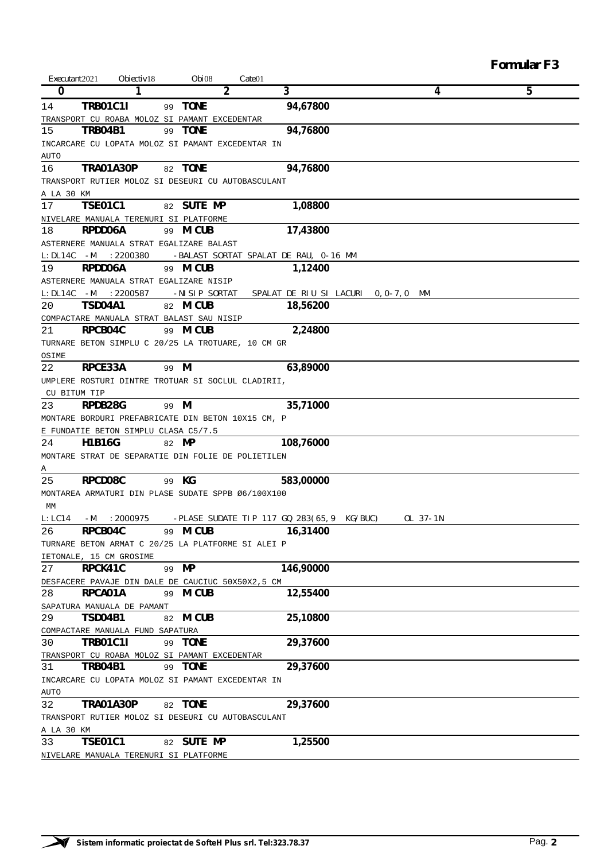| Executant 2021 |                                                    |                   | $\textit{Gate}$ 01                        |                                    | <b>Formular F3</b> |
|----------------|----------------------------------------------------|-------------------|-------------------------------------------|------------------------------------|--------------------|
| 0              | Obiectiv <sub>18</sub><br>1                        | Obi08<br>2        | 3                                         | 4                                  | 5                  |
| 14             | <b>TRB01C1I</b>                                    | <b>TONE</b><br>99 | 94,67800                                  |                                    |                    |
|                | TRANSPORT CU ROABA MOLOZ SI PAMANT EXCEDENTAR      |                   |                                           |                                    |                    |
| 15             | TRB04B1                                            | 99 TONE           | 94,76800                                  |                                    |                    |
|                | INCARCARE CU LOPATA MOLOZ SI PAMANT EXCEDENTAR IN  |                   |                                           |                                    |                    |
| AUTO           |                                                    |                   |                                           |                                    |                    |
| 16             | <b>TRA01A30P</b>                                   | 82 TONE           | 94,76800                                  |                                    |                    |
|                | TRANSPORT RUTIER MOLOZ SI DESEURI CU AUTOBASCULANT |                   |                                           |                                    |                    |
| A LA 30 KM     |                                                    |                   |                                           |                                    |                    |
| 17             | <b>TSE01C1</b>                                     | 82 SUTE MP        | 1,08800                                   |                                    |                    |
|                | NIVELARE MANUALA TERENURI SI PLATFORME             |                   |                                           |                                    |                    |
| 18             | RPDD06A                                            | 99 M CUB          | 17,43800                                  |                                    |                    |
|                | ASTERNERE MANUALA STRAT EGALIZARE BALAST           |                   |                                           |                                    |                    |
| $L:DL14C-M$    | :2200380                                           |                   | -BALAST SORTAT SPALAT DE RAU, 0-16 MM     |                                    |                    |
| 19             | RPDD06A                                            | 99 M CUB          | 1,12400                                   |                                    |                    |
|                | ASTERNERE MANUALA STRAT EGALIZARE NISIP            |                   |                                           |                                    |                    |
|                | L:DL14C -M :2200587                                | -NISIP SORTAT     |                                           | SPALAT DE RIU SI LACURI 0,0-7,0 MM |                    |
| 20             | <b>TSD04A1</b>                                     | 82 M CUB          | 18,56200                                  |                                    |                    |
|                | COMPACTARE MANUALA STRAT BALAST SAU NISIP          |                   |                                           |                                    |                    |
| 21             | RPCB04C                                            | 99 <b>M CUB</b>   | 2,24800                                   |                                    |                    |
|                | TURNARE BETON SIMPLU C 20/25 LA TROTUARE, 10 CM GR |                   |                                           |                                    |                    |
| OSIME          |                                                    |                   |                                           |                                    |                    |
| 22             | RPCE33A                                            | 99 M              | 63,89000                                  |                                    |                    |
|                | UMPLERE ROSTURI DINTRE TROTUAR SI SOCLUL CLADIRII, |                   |                                           |                                    |                    |
|                | CU BITUM TIP                                       |                   |                                           |                                    |                    |
| 23             | RPDB28G                                            | 99 M              | 35,71000                                  |                                    |                    |
|                | MONTARE BORDURI PREFABRICATE DIN BETON 10X15 CM, P |                   |                                           |                                    |                    |
|                | E FUNDATIE BETON SIMPLU CLASA C5/7.5               |                   |                                           |                                    |                    |
| 24             | H1B16G                                             | 82 MP             | 108,76000                                 |                                    |                    |
|                | MONTARE STRAT DE SEPARATIE DIN FOLIE DE POLIETILEN |                   |                                           |                                    |                    |
| А              |                                                    |                   |                                           |                                    |                    |
| 25             | RPCD08C                                            | 99 KG             | 583,00000                                 |                                    |                    |
|                | MONTAREA ARMATURI DIN PLASE SUDATE SPPB Ø6/100X100 |                   |                                           |                                    |                    |
| МM             |                                                    |                   |                                           |                                    |                    |
| L: LC14        | :2000975<br>-М                                     |                   | -PLASE SUDATE TIP 117 GQ 283(65,9 KG/BUC) | OL 37-1N                           |                    |
| 26             | RPCB04C                                            | 99 M CUB          | 16,31400                                  |                                    |                    |
|                | TURNARE BETON ARMAT C 20/25 LA PLATFORME SI ALEI P |                   |                                           |                                    |                    |
|                | IETONALE, 15 CM GROSIME                            |                   |                                           |                                    |                    |
| 27             | RPCK41C                                            | 99 MP             | 146,90000                                 |                                    |                    |
|                | DESFACERE PAVAJE DIN DALE DE CAUCIUC 50X50X2,5 CM  |                   |                                           |                                    |                    |
| 28             | RPCA01A                                            | 99 M CUB          | 12,55400                                  |                                    |                    |
|                | SAPATURA MANUALA DE PAMANT                         |                   |                                           |                                    |                    |
| 29             | TSD04B1                                            | 82 M CUB          | 25,10800                                  |                                    |                    |
|                | COMPACTARE MANUALA FUND SAPATURA                   |                   |                                           |                                    |                    |
| 30             | TRB01C1I                                           | 99 TONE           | 29,37600                                  |                                    |                    |
|                | TRANSPORT CU ROABA MOLOZ SI PAMANT EXCEDENTAR      |                   |                                           |                                    |                    |
| 31             | <b>TRB04B1</b>                                     | 99 TONE           | 29,37600                                  |                                    |                    |
|                | INCARCARE CU LOPATA MOLOZ SI PAMANT EXCEDENTAR IN  |                   |                                           |                                    |                    |
| AUTO           |                                                    |                   |                                           |                                    |                    |
| 32             | TRA01A30P                                          | 82 TONE           | 29,37600                                  |                                    |                    |
|                | TRANSPORT RUTIER MOLOZ SI DESEURI CU AUTOBASCULANT |                   |                                           |                                    |                    |
| A LA 30 KM     |                                                    |                   |                                           |                                    |                    |
| 33             | <b>TSE01C1</b>                                     | 82 SUTE MP        | 1,25500                                   |                                    |                    |
|                | NIVELARE MANUALA TERENURI SI PLATFORME             |                   |                                           |                                    |                    |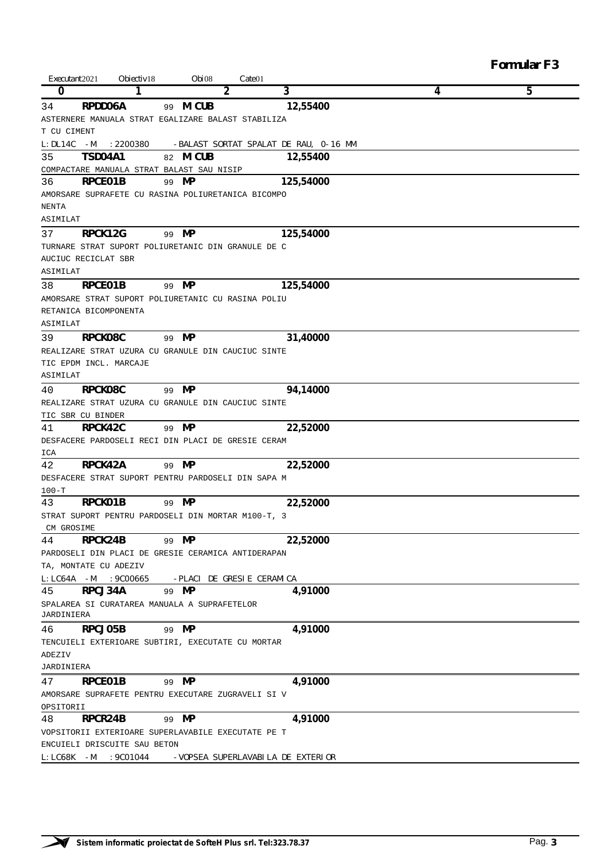| <b>Formular F3</b> |  |
|--------------------|--|
|--------------------|--|

| Executant 2021  |                        | Obiectiv <sub>18</sub>       | Obi08                                              | Cate <sup>01</sup> |                                       |   |   |
|-----------------|------------------------|------------------------------|----------------------------------------------------|--------------------|---------------------------------------|---|---|
| 0               |                        |                              |                                                    | 2                  | 3                                     | 4 | 5 |
| 34              | RPDD06A                |                              | 99 M CUB                                           |                    | 12,55400                              |   |   |
|                 |                        |                              | ASTERNERE MANUALA STRAT EGALIZARE BALAST STABILIZA |                    |                                       |   |   |
| T CU CIMENT     |                        |                              |                                                    |                    |                                       |   |   |
| $L:DL14C-M$     |                        | :2200380                     |                                                    |                    | -BALAST SORTAT SPALAT DE RAU, 0-16 MM |   |   |
| 35              | <b>TSD04A1</b>         |                              | 82 M CUB                                           |                    | 12,55400                              |   |   |
|                 |                        |                              | COMPACTARE MANUALA STRAT BALAST SAU NISIP          |                    |                                       |   |   |
| 36              | RPCE01B                |                              | 99<br>MP                                           |                    | 125,54000                             |   |   |
|                 |                        |                              | AMORSARE SUPRAFETE CU RASINA POLIURETANICA BICOMPO |                    |                                       |   |   |
| <b>NENTA</b>    |                        |                              |                                                    |                    |                                       |   |   |
| ASIMILAT        |                        |                              |                                                    |                    |                                       |   |   |
| 37              | RPCK12G                |                              | МP<br>99                                           |                    | 125,54000                             |   |   |
|                 |                        |                              | TURNARE STRAT SUPORT POLIURETANIC DIN GRANULE DE C |                    |                                       |   |   |
|                 | AUCIUC RECICLAT SBR    |                              |                                                    |                    |                                       |   |   |
| ASIMILAT        |                        |                              |                                                    |                    |                                       |   |   |
| 38              | RPCE01B                |                              | MP<br>99                                           |                    | 125,54000                             |   |   |
|                 |                        |                              | AMORSARE STRAT SUPORT POLIURETANIC CU RASINA POLIU |                    |                                       |   |   |
|                 | RETANICA BICOMPONENTA  |                              |                                                    |                    |                                       |   |   |
| ASIMILAT        |                        |                              |                                                    |                    |                                       |   |   |
|                 |                        |                              |                                                    |                    |                                       |   |   |
| 39              | RPCK08C                |                              | 99 MP                                              |                    | 31,40000                              |   |   |
|                 |                        |                              | REALIZARE STRAT UZURA CU GRANULE DIN CAUCIUC SINTE |                    |                                       |   |   |
|                 | TIC EPDM INCL. MARCAJE |                              |                                                    |                    |                                       |   |   |
| ASIMILAT        |                        |                              |                                                    |                    |                                       |   |   |
| 40              | RPCK08C                |                              | 99 MP                                              |                    | 94,14000                              |   |   |
|                 |                        |                              | REALIZARE STRAT UZURA CU GRANULE DIN CAUCIUC SINTE |                    |                                       |   |   |
|                 | TIC SBR CU BINDER      |                              |                                                    |                    |                                       |   |   |
| 41              | RPCK42C                |                              | 99 MP                                              |                    | 22,52000                              |   |   |
|                 |                        |                              | DESFACERE PARDOSELI RECI DIN PLACI DE GRESIE CERAM |                    |                                       |   |   |
| ICA             |                        |                              |                                                    |                    |                                       |   |   |
| 42              | RPCK42A                |                              | MP<br>99                                           |                    | 22,52000                              |   |   |
|                 |                        |                              | DESFACERE STRAT SUPORT PENTRU PARDOSELI DIN SAPA M |                    |                                       |   |   |
| $100-T$         |                        |                              |                                                    |                    |                                       |   |   |
| 43              | RPCK01B                |                              | MP<br>99                                           |                    | 22,52000                              |   |   |
|                 |                        |                              | STRAT SUPORT PENTRU PARDOSELI DIN MORTAR M100-T, 3 |                    |                                       |   |   |
| CM GROSIME      |                        |                              |                                                    |                    |                                       |   |   |
| 44              | RPCK24B                |                              | 99 MP                                              |                    | 22,52000                              |   |   |
|                 |                        |                              | PARDOSELI DIN PLACI DE GRESIE CERAMICA ANTIDERAPAN |                    |                                       |   |   |
|                 | TA, MONTATE CU ADEZIV  |                              |                                                    |                    |                                       |   |   |
| $L: LCG 4A - M$ |                        | :9C00665                     | -PLACI DE GRESIE CERAMICA                          |                    |                                       |   |   |
| 45              | RPCJ34A                |                              | 99 MP                                              |                    | 4,91000                               |   |   |
| JARDINIERA      |                        |                              | SPALAREA SI CURATAREA MANUALA A SUPRAFETELOR       |                    |                                       |   |   |
| 46              | RPCJ05B                |                              | 99 MP                                              |                    | 4,91000                               |   |   |
|                 |                        |                              | TENCUIELI EXTERIOARE SUBTIRI, EXECUTATE CU MORTAR  |                    |                                       |   |   |
| ADEZIV          |                        |                              |                                                    |                    |                                       |   |   |
| JARDINIERA      |                        |                              |                                                    |                    |                                       |   |   |
| 47              | RPCE01B                |                              | 99 MP                                              |                    | 4,91000                               |   |   |
|                 |                        |                              | AMORSARE SUPRAFETE PENTRU EXECUTARE ZUGRAVELI SI V |                    |                                       |   |   |
| OPSITORII       |                        |                              |                                                    |                    |                                       |   |   |
| 48              | RPCR24B                |                              | 99 MP                                              |                    | 4,91000                               |   |   |
|                 |                        |                              | VOPSITORII EXTERIOARE SUPERLAVABILE EXECUTATE PE T |                    |                                       |   |   |
|                 |                        | ENCUIELI DRISCUITE SAU BETON |                                                    |                    |                                       |   |   |
|                 | L:LC68K -M :9C01044    |                              |                                                    |                    | -VOPSEA SUPERLAVABILA DE EXTERIOR     |   |   |

 $\overline{\phantom{0}}$